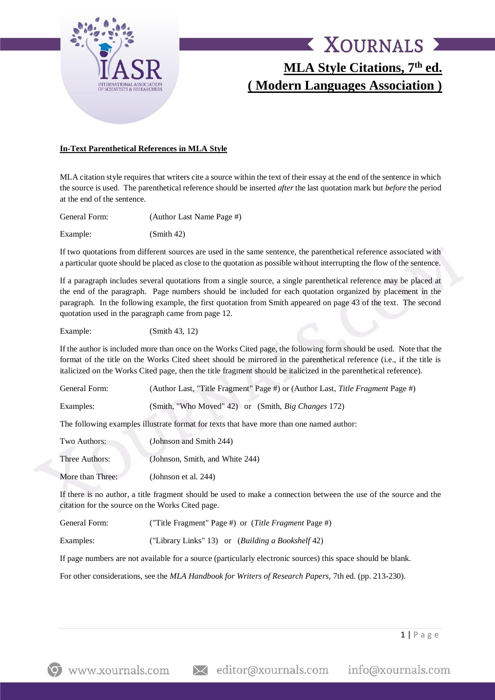

# X XOURNALS X **MLA Style Citations, 7th ed. ( Modern Languages Association )**

#### **In-Text Parenthetical References in MLA Style**

MLA citation style requires that writers cite a source within the text of their essay at the end of the sentence in which the source is used. The parenthetical reference should be inserted *after* the last quotation mark but *before* the period at the end of the sentence.

General Form: (Author Last Name Page #)

Example: (Smith 42)

If two quotations from different sources are used in the same sentence, the parenthetical reference associated with a particular quote should be placed as close to the quotation as possible without interrupting the flow of the sentence.

If a paragraph includes several quotations from a single source, a single parenthetical reference may be placed at the end of the paragraph. Page numbers should be included for each quotation organized by placement in the paragraph. In the following example, the first quotation from Smith appeared on page 43 of the text. The second quotation used in the paragraph came from page 12.

Example: (Smith 43, 12)

If the author is included more than once on the Works Cited page, the following form should be used. Note that the format of the title on the Works Cited sheet should be mirrored in the parenthetical reference (i.e., if the title is italicized on the Works Cited page, then the title fragment should be italicized in the parenthetical reference).

| General Form: | (Author Last, "Title Fragment" Page #) or (Author Last, Title Fragment Page #) |
|---------------|--------------------------------------------------------------------------------|
| Examples:     | (Smith, "Who Moved" 42) or (Smith, <i>Big Changes</i> 172)                     |

The following examples illustrate format for texts that have more than one named author:

| Two Authors:     | (Johnson and Smith 244)         |
|------------------|---------------------------------|
| Three Authors:   | (Johnson, Smith, and White 244) |
| More than Three: | (Johnson et al. 244)            |

If there is no author, a title fragment should be used to make a connection between the use of the source and the citation for the source on the Works Cited page.

General Form: ("Title Fragment" Page #) or (*Title Fragment* Page #)

Examples: ("Library Links" 13) or (*Building a Bookshelf* 42)

If page numbers are not available for a source (particularly electronic sources) this space should be blank.

For other considerations, see the *MLA Handbook for Writers of Research Papers*, 7th ed. (pp. 213-230).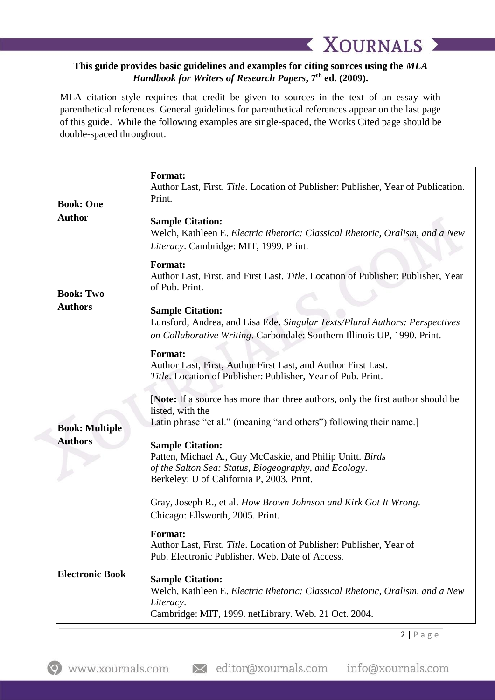### **This guide provides basic guidelines and examples for citing sources using the** *MLA Handbook for Writers of Research Papers***, 7th ed. (2009).**

**XOURNALS X** 

MLA citation style requires that credit be given to sources in the text of an essay with parenthetical references. General guidelines for parenthetical references appear on the last page of this guide. While the following examples are single-spaced, the Works Cited page should be double-spaced throughout.

| <b>Book: One</b><br><b>Author</b>       | <b>Format:</b><br>Author Last, First. Title. Location of Publisher: Publisher, Year of Publication.<br>Print.<br><b>Sample Citation:</b><br>Welch, Kathleen E. Electric Rhetoric: Classical Rhetoric, Oralism, and a New<br>Literacy. Cambridge: MIT, 1999. Print.                                                                                                                                                                                                                                                                                                                                                                  |
|-----------------------------------------|-------------------------------------------------------------------------------------------------------------------------------------------------------------------------------------------------------------------------------------------------------------------------------------------------------------------------------------------------------------------------------------------------------------------------------------------------------------------------------------------------------------------------------------------------------------------------------------------------------------------------------------|
| <b>Book: Two</b><br><b>Authors</b>      | <b>Format:</b><br>Author Last, First, and First Last. Title. Location of Publisher: Publisher, Year<br>of Pub. Print.<br><b>Sample Citation:</b><br>Lunsford, Andrea, and Lisa Ede. Singular Texts/Plural Authors: Perspectives<br>on Collaborative Writing. Carbondale: Southern Illinois UP, 1990. Print.                                                                                                                                                                                                                                                                                                                         |
| <b>Book: Multiple</b><br><b>Authors</b> | <b>Format:</b><br>Author Last, First, Author First Last, and Author First Last.<br>Title. Location of Publisher: Publisher, Year of Pub. Print.<br>[Note: If a source has more than three authors, only the first author should be<br>listed, with the<br>Latin phrase "et al." (meaning "and others") following their name.]<br><b>Sample Citation:</b><br>Patten, Michael A., Guy McCaskie, and Philip Unitt. Birds<br>of the Salton Sea: Status, Biogeography, and Ecology.<br>Berkeley: U of California P, 2003. Print.<br>Gray, Joseph R., et al. How Brown Johnson and Kirk Got It Wrong.<br>Chicago: Ellsworth, 2005. Print. |
| <b>Electronic Book</b>                  | Format:<br>Author Last, First. Title. Location of Publisher: Publisher, Year of<br>Pub. Electronic Publisher. Web. Date of Access.<br><b>Sample Citation:</b><br>Welch, Kathleen E. Electric Rhetoric: Classical Rhetoric, Oralism, and a New<br>Literacy.<br>Cambridge: MIT, 1999. netLibrary. Web. 21 Oct. 2004.                                                                                                                                                                                                                                                                                                                  |

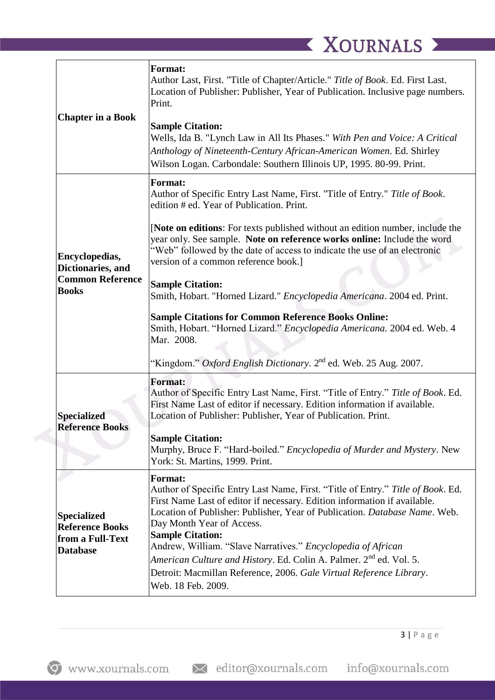| <b>Chapter in a Book</b>                                                            | <b>Format:</b><br>Author Last, First. "Title of Chapter/Article." Title of Book. Ed. First Last.<br>Location of Publisher: Publisher, Year of Publication. Inclusive page numbers.<br>Print.<br><b>Sample Citation:</b><br>Wells, Ida B. "Lynch Law in All Its Phases." With Pen and Voice: A Critical<br>Anthology of Nineteenth-Century African-American Women. Ed. Shirley<br>Wilson Logan. Carbondale: Southern Illinois UP, 1995. 80-99. Print.                                                                                                                                                                                                                                                                                                           |
|-------------------------------------------------------------------------------------|----------------------------------------------------------------------------------------------------------------------------------------------------------------------------------------------------------------------------------------------------------------------------------------------------------------------------------------------------------------------------------------------------------------------------------------------------------------------------------------------------------------------------------------------------------------------------------------------------------------------------------------------------------------------------------------------------------------------------------------------------------------|
| Encyclopedias,<br>Dictionaries, and<br><b>Common Reference</b><br><b>Books</b>      | <b>Format:</b><br>Author of Specific Entry Last Name, First. "Title of Entry." Title of Book.<br>edition # ed. Year of Publication. Print.<br>[Note on editions: For texts published without an edition number, include the<br>year only. See sample. Note on reference works online: Include the word<br>"Web" followed by the date of access to indicate the use of an electronic<br>version of a common reference book.]<br><b>Sample Citation:</b><br>Smith, Hobart. "Horned Lizard." Encyclopedia Americana. 2004 ed. Print.<br><b>Sample Citations for Common Reference Books Online:</b><br>Smith, Hobart. "Horned Lizard." Encyclopedia Americana. 2004 ed. Web. 4<br>Mar. 2008.<br>"Kingdom." Oxford English Dictionary. $2nd$ ed. Web. 25 Aug. 2007. |
| <b>Specialized</b><br><b>Reference Books</b>                                        | <b>Format:</b><br>Author of Specific Entry Last Name, First. "Title of Entry." Title of Book. Ed.<br>First Name Last of editor if necessary. Edition information if available.<br>Location of Publisher: Publisher, Year of Publication. Print.<br><b>Sample Citation:</b><br>Murphy, Bruce F. "Hard-boiled." Encyclopedia of Murder and Mystery. New<br>York: St. Martins, 1999. Print.                                                                                                                                                                                                                                                                                                                                                                       |
| <b>Specialized</b><br><b>Reference Books</b><br>from a Full-Text<br><b>Database</b> | <b>Format:</b><br>Author of Specific Entry Last Name, First. "Title of Entry." Title of Book. Ed.<br>First Name Last of editor if necessary. Edition information if available.<br>Location of Publisher: Publisher, Year of Publication. Database Name. Web.<br>Day Month Year of Access.<br><b>Sample Citation:</b><br>Andrew, William. "Slave Narratives." Encyclopedia of African<br>American Culture and History. Ed. Colin A. Palmer. 2 <sup>nd</sup> ed. Vol. 5.<br>Detroit: Macmillan Reference, 2006. Gale Virtual Reference Library.<br>Web. 18 Feb. 2009.                                                                                                                                                                                            |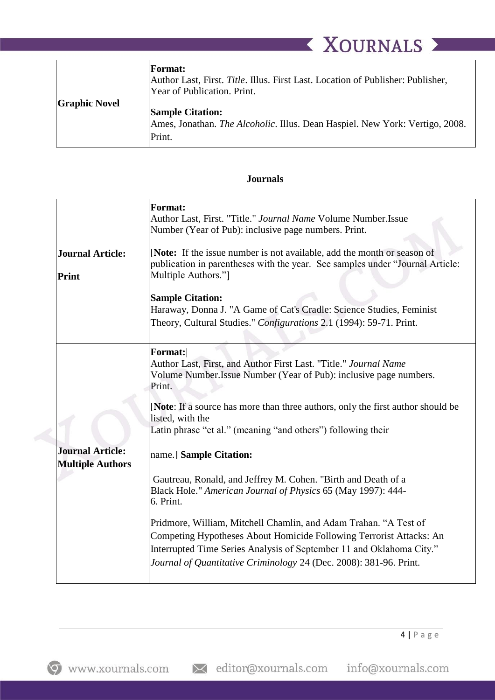|                      | <b>XOURNALS</b>                                                                                                                                                                                                                                       |
|----------------------|-------------------------------------------------------------------------------------------------------------------------------------------------------------------------------------------------------------------------------------------------------|
| <b>Graphic Novel</b> | <b>Format:</b><br>Author Last, First. Title. Illus. First Last. Location of Publisher: Publisher,<br>Year of Publication. Print.<br><b>Sample Citation:</b><br>Ames, Jonathan. The Alcoholic. Illus. Dean Haspiel. New York: Vertigo, 2008.<br>Print. |

#### **Journals**

| <b>Format:</b><br>Author Last, First. "Title." Journal Name Volume Number.Issue<br>Number (Year of Pub): inclusive page numbers. Print.<br>[Note: If the issue number is not available, add the month or season of<br>publication in parentheses with the year. See samples under "Journal Article:<br>Multiple Authors."]<br><b>Sample Citation:</b><br>Haraway, Donna J. "A Game of Cat's Cradle: Science Studies, Feminist<br>Theory, Cultural Studies." Configurations 2.1 (1994): 59-71. Print.                                                                                                                                                                                                                                                                                                 |
|------------------------------------------------------------------------------------------------------------------------------------------------------------------------------------------------------------------------------------------------------------------------------------------------------------------------------------------------------------------------------------------------------------------------------------------------------------------------------------------------------------------------------------------------------------------------------------------------------------------------------------------------------------------------------------------------------------------------------------------------------------------------------------------------------|
| Format:<br>Author Last, First, and Author First Last. "Title." Journal Name<br>Volume Number. Issue Number (Year of Pub): inclusive page numbers.<br>Print.<br>[Note: If a source has more than three authors, only the first author should be<br>listed, with the<br>Latin phrase "et al." (meaning "and others") following their<br>name.] Sample Citation:<br>Gautreau, Ronald, and Jeffrey M. Cohen. "Birth and Death of a<br>Black Hole." American Journal of Physics 65 (May 1997): 444-<br>6. Print.<br>Pridmore, William, Mitchell Chamlin, and Adam Trahan. "A Test of<br>Competing Hypotheses About Homicide Following Terrorist Attacks: An<br>Interrupted Time Series Analysis of September 11 and Oklahoma City."<br>Journal of Quantitative Criminology 24 (Dec. 2008): 381-96. Print. |
|                                                                                                                                                                                                                                                                                                                                                                                                                                                                                                                                                                                                                                                                                                                                                                                                      |

× editor@xournals.com info@xournals.com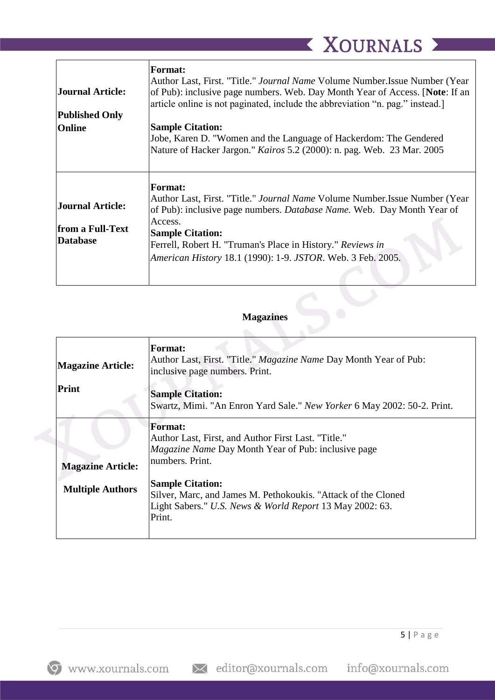| Journal Article:<br><b>Published Only</b> | <b>Format:</b><br>Author Last, First. "Title." Journal Name Volume Number. Issue Number (Year<br>of Pub): inclusive page numbers. Web. Day Month Year of Access. [Note: If an<br>article online is not paginated, include the abbreviation "n. pag." instead. |
|-------------------------------------------|---------------------------------------------------------------------------------------------------------------------------------------------------------------------------------------------------------------------------------------------------------------|
| Online                                    | <b>Sample Citation:</b>                                                                                                                                                                                                                                       |
|                                           | Jobe, Karen D. "Women and the Language of Hackerdom: The Gendered                                                                                                                                                                                             |
|                                           | Nature of Hacker Jargon." Kairos 5.2 (2000): n. pag. Web. 23 Mar. 2005                                                                                                                                                                                        |
|                                           |                                                                                                                                                                                                                                                               |
|                                           | <b>Format:</b>                                                                                                                                                                                                                                                |
| Journal Article:                          | Author Last, First. "Title." <i>Journal Name</i> Volume Number. Issue Number (Year<br>of Pub): inclusive page numbers. <i>Database Name</i> . Web. Day Month Year of                                                                                          |
| from a Full-Text                          | Access.                                                                                                                                                                                                                                                       |
| <b>Database</b>                           | <b>Sample Citation:</b><br>Ferrell, Robert H. "Truman's Place in History." Reviews in                                                                                                                                                                         |
|                                           |                                                                                                                                                                                                                                                               |
|                                           | American History 18.1 (1990): 1-9. JSTOR. Web. 3 Feb. 2005.                                                                                                                                                                                                   |
|                                           |                                                                                                                                                                                                                                                               |

### **Magazines**

| <b>Magazine Article:</b><br><b>Print</b> | <b>Format:</b><br>Author Last, First. "Title." <i>Magazine Name</i> Day Month Year of Pub:<br>inclusive page numbers. Print.<br><b>Sample Citation:</b><br>Swartz, Mimi. "An Enron Yard Sale." New Yorker 6 May 2002: 50-2. Print. |
|------------------------------------------|------------------------------------------------------------------------------------------------------------------------------------------------------------------------------------------------------------------------------------|
|                                          | Format:                                                                                                                                                                                                                            |
|                                          | Author Last, First, and Author First Last. "Title."                                                                                                                                                                                |
|                                          | <i>Magazine Name</i> Day Month Year of Pub: inclusive page                                                                                                                                                                         |
| <b>Magazine Article:</b>                 | numbers. Print.                                                                                                                                                                                                                    |
| <b>Multiple Authors</b>                  | <b>Sample Citation:</b><br>Silver, Marc, and James M. Pethokoukis. "Attack of the Cloned"<br>Light Sabers." U.S. News & World Report 13 May 2002: 63.<br>Print.                                                                    |
|                                          |                                                                                                                                                                                                                                    |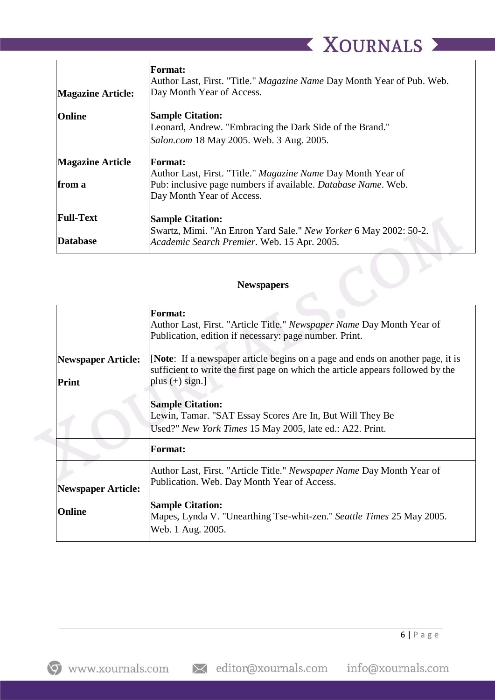|                          | <b>Format:</b><br>Author Last, First. "Title." <i>Magazine Name</i> Day Month Year of Pub. Web. |
|--------------------------|-------------------------------------------------------------------------------------------------|
| <b>Magazine Article:</b> | Day Month Year of Access.                                                                       |
| Online                   | <b>Sample Citation:</b><br>Leonard, Andrew. "Embracing the Dark Side of the Brand."             |
|                          | Salon.com 18 May 2005. Web. 3 Aug. 2005.                                                        |
| <b>Magazine Article</b>  | <b>Format:</b><br>Author Last, First. "Title." Magazine Name Day Month Year of                  |
| from a                   | Pub: inclusive page numbers if available. Database Name. Web.<br>Day Month Year of Access.      |
| <b>Full-Text</b>         | <b>Sample Citation:</b><br>Swartz, Mimi. "An Enron Yard Sale." New Yorker 6 May 2002: 50-2.     |
| <b>Database</b>          | Academic Search Premier. Web. 15 Apr. 2005.                                                     |
|                          |                                                                                                 |
| <b>Newspapers</b>        |                                                                                                 |

## **Newspapers**

|                           | <b>Format:</b><br>Author Last, First. "Article Title." Newspaper Name Day Month Year of<br>Publication, edition if necessary: page number. Print.                 |
|---------------------------|-------------------------------------------------------------------------------------------------------------------------------------------------------------------|
| <b>Newspaper Article:</b> | [Note: If a newspaper article begins on a page and ends on another page, it is<br>sufficient to write the first page on which the article appears followed by the |
| Print                     | plus $(+)$ sign.]                                                                                                                                                 |
|                           | <b>Sample Citation:</b><br>Lewin, Tamar. "SAT Essay Scores Are In, But Will They Be<br>Used?" New York Times 15 May 2005, late ed.: A22. Print.                   |
|                           | Format:                                                                                                                                                           |
| <b>Newspaper Article:</b> | Author Last, First. "Article Title." Newspaper Name Day Month Year of<br>Publication. Web. Day Month Year of Access.                                              |
| <b>Online</b>             | <b>Sample Citation:</b><br>Mapes, Lynda V. "Unearthing Tse-whit-zen." Seattle Times 25 May 2005.<br>Web. 1 Aug. 2005.                                             |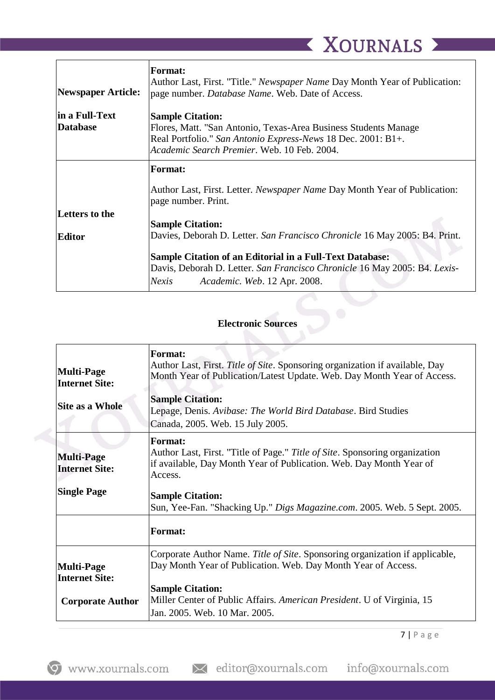| Newspaper Article:                 | <b>Format:</b><br>Author Last, First. "Title." <i>Newspaper Name</i> Day Month Year of Publication:<br>page number. Database Name. Web. Date of Access.                                                   |
|------------------------------------|-----------------------------------------------------------------------------------------------------------------------------------------------------------------------------------------------------------|
| lin a Full-Text<br><b>Database</b> | <b>Sample Citation:</b><br>Flores, Matt. "San Antonio, Texas-Area Business Students Manage<br>Real Portfolio." San Antonio Express-News 18 Dec. 2001: B1+.<br>Academic Search Premier. Web. 10 Feb. 2004. |
|                                    | <b>Format:</b>                                                                                                                                                                                            |
|                                    | Author Last, First. Letter. <i>Newspaper Name</i> Day Month Year of Publication:<br>page number. Print.                                                                                                   |
| <b>Letters to the</b>              | <b>Sample Citation:</b>                                                                                                                                                                                   |
| <b>Editor</b>                      | Davies, Deborah D. Letter. San Francisco Chronicle 16 May 2005: B4. Print.                                                                                                                                |
|                                    | <b>Sample Citation of an Editorial in a Full-Text Database:</b><br>Davis, Deborah D. Letter. San Francisco Chronicle 16 May 2005: B4. Lexis-<br>Nexis<br>Academic. Web. 12 Apr. 2008.                     |

## **Electronic Sources**

| <b>Multi-Page</b><br><b>Internet Site:</b><br><b>Site as a Whole</b>  | <b>Format:</b><br>Author Last, First. Title of Site. Sponsoring organization if available, Day<br>Month Year of Publication/Latest Update. Web. Day Month Year of Access.<br><b>Sample Citation:</b><br>Lepage, Denis. Avibase: The World Bird Database. Bird Studies<br>Canada, 2005. Web. 15 July 2005. |
|-----------------------------------------------------------------------|-----------------------------------------------------------------------------------------------------------------------------------------------------------------------------------------------------------------------------------------------------------------------------------------------------------|
| <b>Multi-Page</b><br><b>Internet Site:</b><br><b>Single Page</b>      | <b>Format:</b><br>Author Last, First. "Title of Page." Title of Site. Sponsoring organization<br>if available, Day Month Year of Publication. Web. Day Month Year of<br>Access.<br><b>Sample Citation:</b><br>Sun, Yee-Fan. "Shacking Up." Digs Magazine.com. 2005. Web. 5 Sept. 2005.                    |
|                                                                       | <b>Format:</b>                                                                                                                                                                                                                                                                                            |
| <b>Multi-Page</b><br><b>Internet Site:</b><br><b>Corporate Author</b> | Corporate Author Name. Title of Site. Sponsoring organization if applicable,<br>Day Month Year of Publication. Web. Day Month Year of Access.<br><b>Sample Citation:</b><br>Miller Center of Public Affairs. American President. U of Virginia, 15<br>Jan. 2005. Web. 10 Mar. 2005.                       |